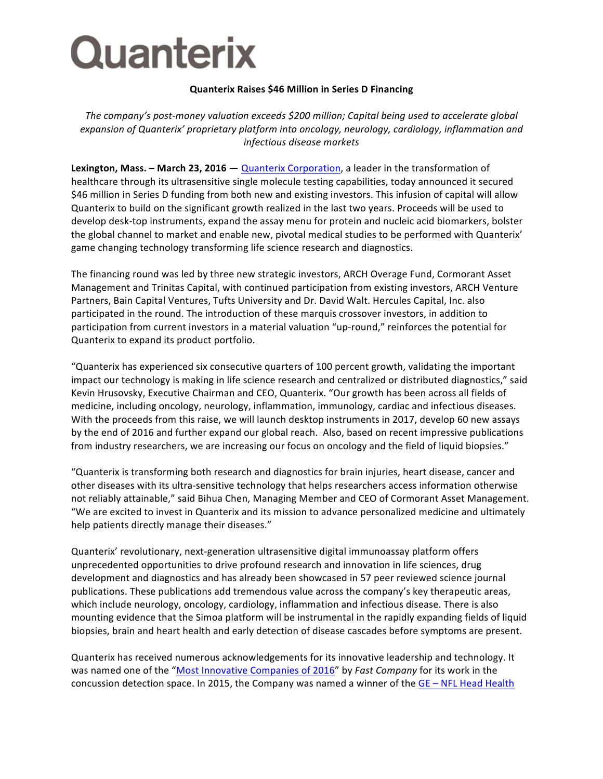## **Quanterix**

## **Quanterix Raises \$46 Million in Series D Financing**

The company's post-money valuation exceeds \$200 million; Capital being used to accelerate global expansion of Quanterix' proprietary platform into oncology, neurology, cardiology, inflammation and *infectious disease markets*

**Lexington, Mass. – March 23, 2016** — Quanterix Corporation, a leader in the transformation of healthcare through its ultrasensitive single molecule testing capabilities, today announced it secured \$46 million in Series D funding from both new and existing investors. This infusion of capital will allow Quanterix to build on the significant growth realized in the last two years. Proceeds will be used to develop desk-top instruments, expand the assay menu for protein and nucleic acid biomarkers, bolster the global channel to market and enable new, pivotal medical studies to be performed with Quanterix' game changing technology transforming life science research and diagnostics.

The financing round was led by three new strategic investors, ARCH Overage Fund, Cormorant Asset Management and Trinitas Capital, with continued participation from existing investors, ARCH Venture Partners, Bain Capital Ventures, Tufts University and Dr. David Walt. Hercules Capital, Inc. also participated in the round. The introduction of these marquis crossover investors, in addition to participation from current investors in a material valuation "up-round," reinforces the potential for Quanterix to expand its product portfolio.

"Quanterix has experienced six consecutive quarters of 100 percent growth, validating the important impact our technology is making in life science research and centralized or distributed diagnostics," said Kevin Hrusovsky, Executive Chairman and CEO, Quanterix. "Our growth has been across all fields of medicine, including oncology, neurology, inflammation, immunology, cardiac and infectious diseases. With the proceeds from this raise, we will launch desktop instruments in 2017, develop 60 new assays by the end of 2016 and further expand our global reach. Also, based on recent impressive publications from industry researchers, we are increasing our focus on oncology and the field of liquid biopsies."

"Quanterix is transforming both research and diagnostics for brain injuries, heart disease, cancer and other diseases with its ultra-sensitive technology that helps researchers access information otherwise not reliably attainable," said Bihua Chen, Managing Member and CEO of Cormorant Asset Management. "We are excited to invest in Quanterix and its mission to advance personalized medicine and ultimately help patients directly manage their diseases."

Quanterix' revolutionary, next-generation ultrasensitive digital immunoassay platform offers unprecedented opportunities to drive profound research and innovation in life sciences, drug development and diagnostics and has already been showcased in 57 peer reviewed science journal publications. These publications add tremendous value across the company's key therapeutic areas, which include neurology, oncology, cardiology, inflammation and infectious disease. There is also mounting evidence that the Simoa platform will be instrumental in the rapidly expanding fields of liquid biopsies, brain and heart health and early detection of disease cascades before symptoms are present.

Quanterix has received numerous acknowledgements for its innovative leadership and technology. It was named one of the "Most Innovative Companies of 2016" by *Fast Company* for its work in the concussion detection space. In 2015, the Company was named a winner of the  $GE - NFL$  Head Health